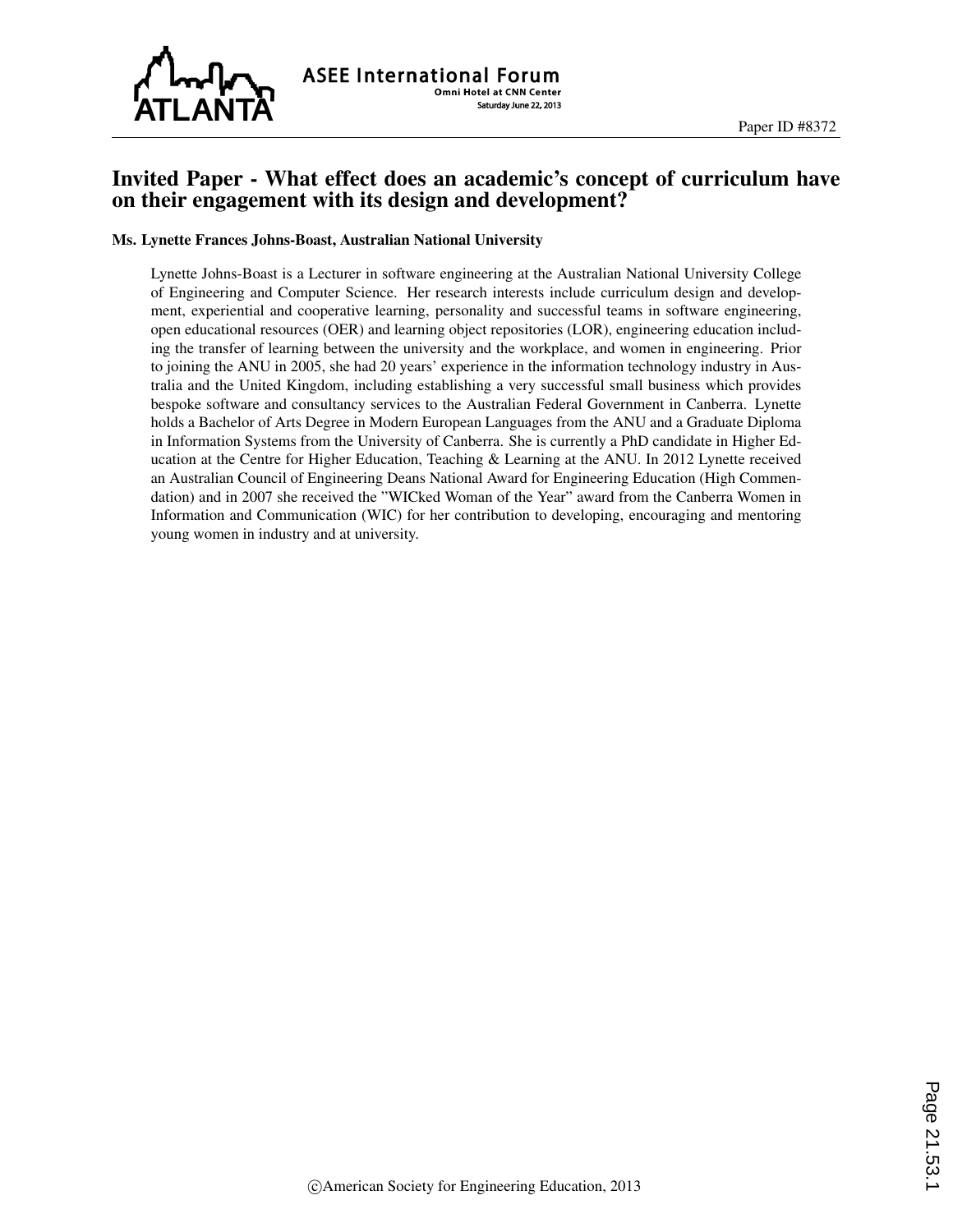

# Invited Paper - What effect does an academic's concept of curriculum have on their engagement with its design and development?

#### Ms. Lynette Frances Johns-Boast, Australian National University

Lynette Johns-Boast is a Lecturer in software engineering at the Australian National University College of Engineering and Computer Science. Her research interests include curriculum design and development, experiential and cooperative learning, personality and successful teams in software engineering, open educational resources (OER) and learning object repositories (LOR), engineering education including the transfer of learning between the university and the workplace, and women in engineering. Prior to joining the ANU in 2005, she had 20 years' experience in the information technology industry in Australia and the United Kingdom, including establishing a very successful small business which provides bespoke software and consultancy services to the Australian Federal Government in Canberra. Lynette holds a Bachelor of Arts Degree in Modern European Languages from the ANU and a Graduate Diploma in Information Systems from the University of Canberra. She is currently a PhD candidate in Higher Education at the Centre for Higher Education, Teaching & Learning at the ANU. In 2012 Lynette received an Australian Council of Engineering Deans National Award for Engineering Education (High Commendation) and in 2007 she received the "WICked Woman of the Year" award from the Canberra Women in Information and Communication (WIC) for her contribution to developing, encouraging and mentoring young women in industry and at university.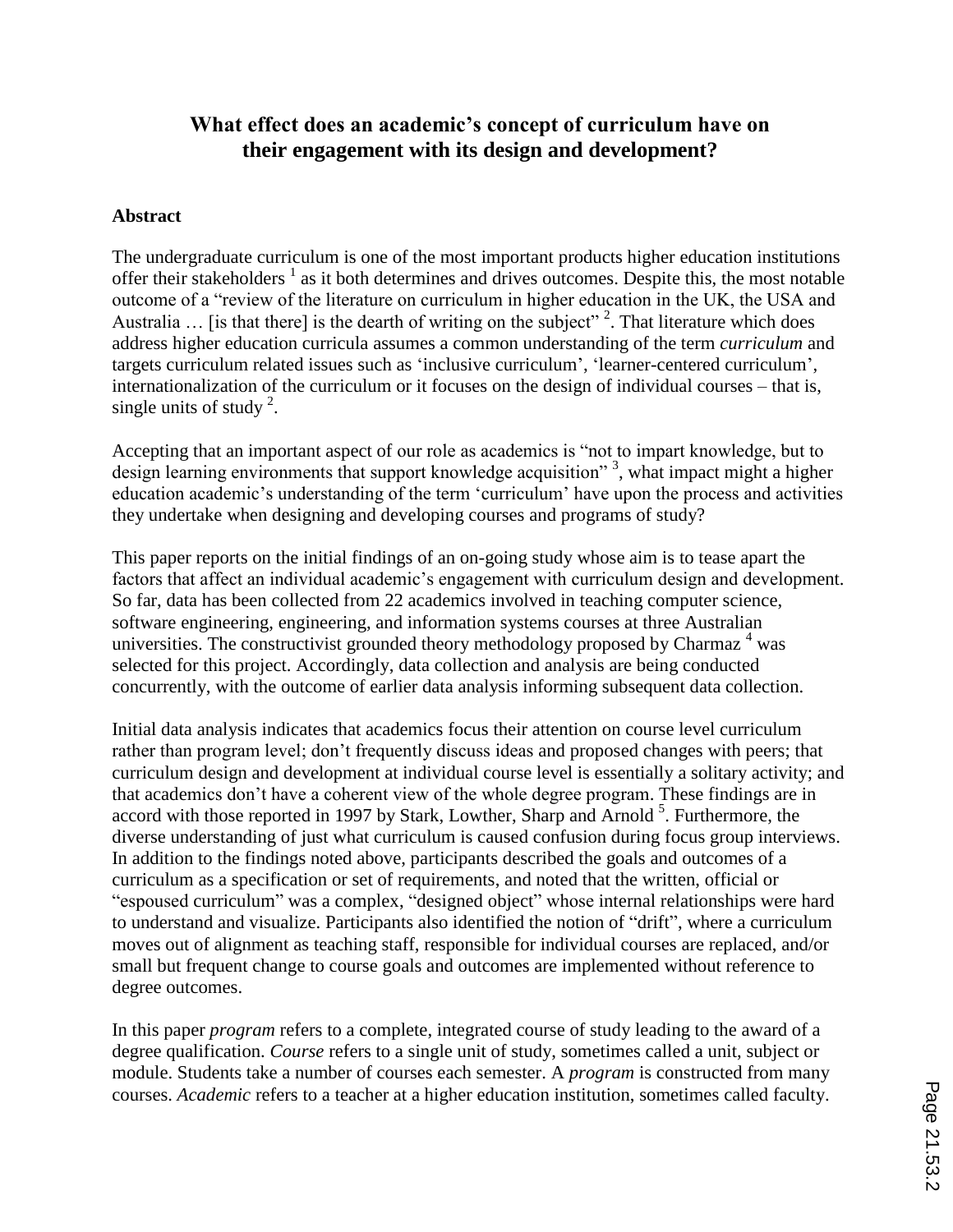# **What effect does an academic's concept of curriculum have on their engagement with its design and development?**

#### **Abstract**

The undergraduate curriculum is one of the most important products higher education institutions offer their stakeholders  $<sup>1</sup>$  as it both determines and drives outcomes. Despite this, the most notable</sup> outcome of a "review of the literature on curriculum in higher education in the UK, the USA and Australia  $\ldots$  [is that there] is the dearth of writing on the subject"<sup>2</sup>. That literature which does address higher education curricula assumes a common understanding of the term *curriculum* and targets curriculum related issues such as 'inclusive curriculum', 'learner-centered curriculum', internationalization of the curriculum or it focuses on the design of individual courses – that is, single units of study  $2$ .

Accepting that an important aspect of our role as academics is "not to impart knowledge, but to design learning environments that support knowledge acquisition"<sup>3</sup>, what impact might a higher education academic's understanding of the term 'curriculum' have upon the process and activities they undertake when designing and developing courses and programs of study?

This paper reports on the initial findings of an on-going study whose aim is to tease apart the factors that affect an individual academic's engagement with curriculum design and development. So far, data has been collected from 22 academics involved in teaching computer science, software engineering, engineering, and information systems courses at three Australian universities. The constructivist grounded theory methodology proposed by Charmaz  $4$  was selected for this project. Accordingly, data collection and analysis are being conducted concurrently, with the outcome of earlier data analysis informing subsequent data collection.

Initial data analysis indicates that academics focus their attention on course level curriculum rather than program level; don't frequently discuss ideas and proposed changes with peers; that curriculum design and development at individual course level is essentially a solitary activity; and that academics don't have a coherent view of the whole degree program. These findings are in accord with those reported in 1997 by Stark, Lowther, Sharp and Arnold  $5$ . Furthermore, the diverse understanding of just what curriculum is caused confusion during focus group interviews. In addition to the findings noted above, participants described the goals and outcomes of a curriculum as a specification or set of requirements, and noted that the written, official or "espoused curriculum" was a complex, "designed object" whose internal relationships were hard to understand and visualize. Participants also identified the notion of "drift", where a curriculum moves out of alignment as teaching staff, responsible for individual courses are replaced, and/or small but frequent change to course goals and outcomes are implemented without reference to degree outcomes.

In this paper *program* refers to a complete, integrated course of study leading to the award of a degree qualification. *Course* refers to a single unit of study, sometimes called a unit, subject or module. Students take a number of courses each semester. A *program* is constructed from many courses. *Academic* refers to a teacher at a higher education institution, sometimes called faculty.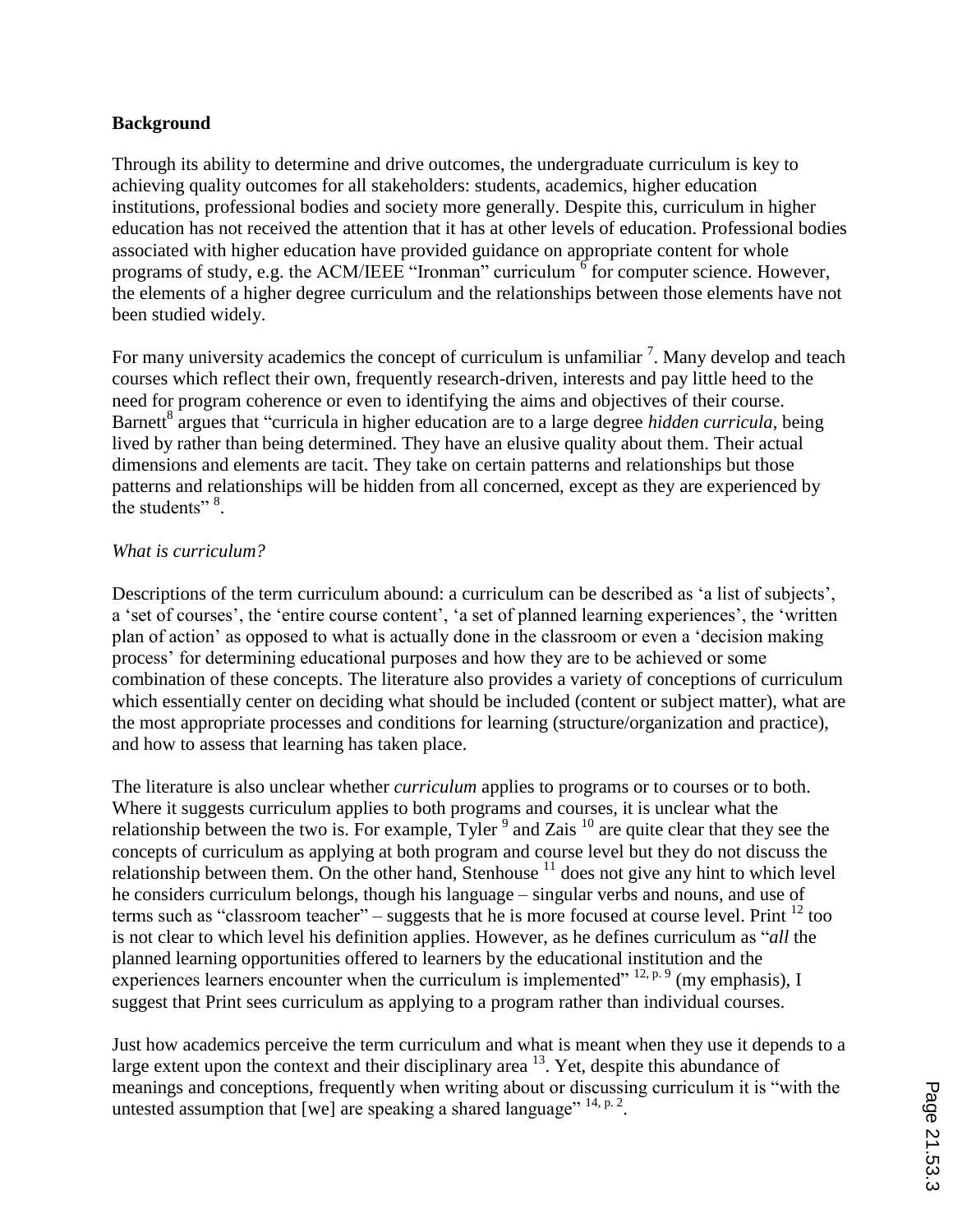#### **Background**

Through its ability to determine and drive outcomes, the undergraduate curriculum is key to achieving quality outcomes for all stakeholders: students, academics, higher education institutions, professional bodies and society more generally. Despite this, curriculum in higher education has not received the attention that it has at other levels of education. Professional bodies associated with higher education have provided guidance on appropriate content for whole programs of study, e.g. the ACM/IEEE "Ironman" curriculum  $\delta$  for computer science. However, the elements of a higher degree curriculum and the relationships between those elements have not been studied widely.

For many university academics the concept of curriculum is unfamiliar  $<sup>7</sup>$ . Many develop and teach</sup> courses which reflect their own, frequently research-driven, interests and pay little heed to the need for program coherence or even to identifying the aims and objectives of their course. Barnett<sup>8</sup> argues that "curricula in higher education are to a large degree *hidden curricula*, being lived by rather than being determined. They have an elusive quality about them. Their actual dimensions and elements are tacit. They take on certain patterns and relationships but those patterns and relationships will be hidden from all concerned, except as they are experienced by the students" $\frac{8}{3}$ .

#### *What is curriculum?*

Descriptions of the term curriculum abound: a curriculum can be described as 'a list of subjects', a 'set of courses', the 'entire course content', 'a set of planned learning experiences', the 'written plan of action' as opposed to what is actually done in the classroom or even a 'decision making process' for determining educational purposes and how they are to be achieved or some combination of these concepts. The literature also provides a variety of conceptions of curriculum which essentially center on deciding what should be included (content or subject matter), what are the most appropriate processes and conditions for learning (structure/organization and practice), and how to assess that learning has taken place.

The literature is also unclear whether *curriculum* applies to programs or to courses or to both. Where it suggests curriculum applies to both programs and courses, it is unclear what the relationship between the two is. For example, Tyler<sup>9</sup> and Zais<sup>10</sup> are quite clear that they see the concepts of curriculum as applying at both program and course level but they do not discuss the relationship between them. On the other hand, Stenhouse  $11$  does not give any hint to which level he considers curriculum belongs, though his language – singular verbs and nouns, and use of terms such as "classroom teacher" – suggests that he is more focused at course level. Print  $^{12}$  too is not clear to which level his definition applies. However, as he defines curriculum as "*all* the planned learning opportunities offered to learners by the educational institution and the experiences learners encounter when the curriculum is implemented"  $^{12, p. 9}$  (my emphasis), I suggest that Print sees curriculum as applying to a program rather than individual courses.

Just how academics perceive the term curriculum and what is meant when they use it depends to a large extent upon the context and their disciplinary area  $^{13}$ . Yet, despite this abundance of meanings and conceptions, frequently when writing about or discussing curriculum it is "with the untested assumption that [we] are speaking a shared language" <sup>14, p. 2</sup>.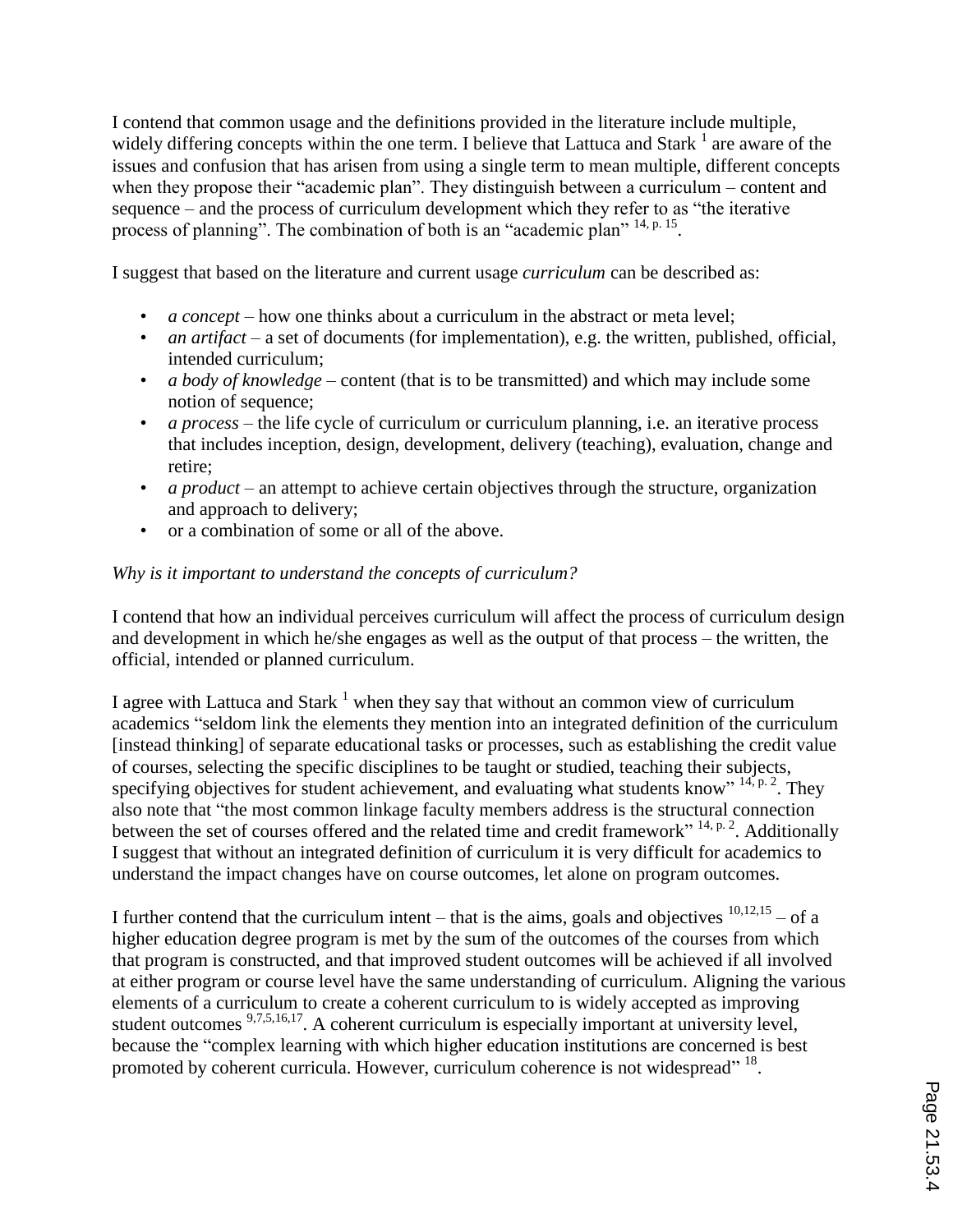I contend that common usage and the definitions provided in the literature include multiple, widely differing concepts within the one term. I believe that Lattuca and Stark  $<sup>1</sup>$  are aware of the</sup> issues and confusion that has arisen from using a single term to mean multiple, different concepts when they propose their "academic plan". They distinguish between a curriculum – content and sequence – and the process of curriculum development which they refer to as "the iterative process of planning". The combination of both is an "academic plan" <sup>14, p. 15</sup>.

I suggest that based on the literature and current usage *curriculum* can be described as:

- *a concept* how one thinks about a curriculum in the abstract or meta level;
- *an artifact* a set of documents (for implementation), e.g. the written, published, official, intended curriculum;
- *a body of knowledge* content (that is to be transmitted) and which may include some notion of sequence;
- *a process* the life cycle of curriculum or curriculum planning, i.e. an iterative process that includes inception, design, development, delivery (teaching), evaluation, change and retire;
- *a product* an attempt to achieve certain objectives through the structure, organization and approach to delivery;
- or a combination of some or all of the above.

# *Why is it important to understand the concepts of curriculum?*

I contend that how an individual perceives curriculum will affect the process of curriculum design and development in which he/she engages as well as the output of that process – the written, the official, intended or planned curriculum.

I agree with Lattuca and Stark  $<sup>1</sup>$  when they say that without an common view of curriculum</sup> academics "seldom link the elements they mention into an integrated definition of the curriculum [instead thinking] of separate educational tasks or processes, such as establishing the credit value of courses, selecting the specific disciplines to be taught or studied, teaching their subjects, specifying objectives for student achievement, and evaluating what students know"  $14$ ,  $p. 2$ . They also note that "the most common linkage faculty members address is the structural connection between the set of courses offered and the related time and credit framework" <sup>14, p. 2</sup>. Additionally I suggest that without an integrated definition of curriculum it is very difficult for academics to understand the impact changes have on course outcomes, let alone on program outcomes.

I further contend that the curriculum intent – that is the aims, goals and objectives  $10,12,15$  – of a higher education degree program is met by the sum of the outcomes of the courses from which that program is constructed, and that improved student outcomes will be achieved if all involved at either program or course level have the same understanding of curriculum. Aligning the various elements of a curriculum to create a coherent curriculum to is widely accepted as improving student outcomes <sup>9,7,5,16,17</sup>. A coherent curriculum is especially important at university level, because the "complex learning with which higher education institutions are concerned is best promoted by coherent curricula. However, curriculum coherence is not widespread" <sup>18</sup>.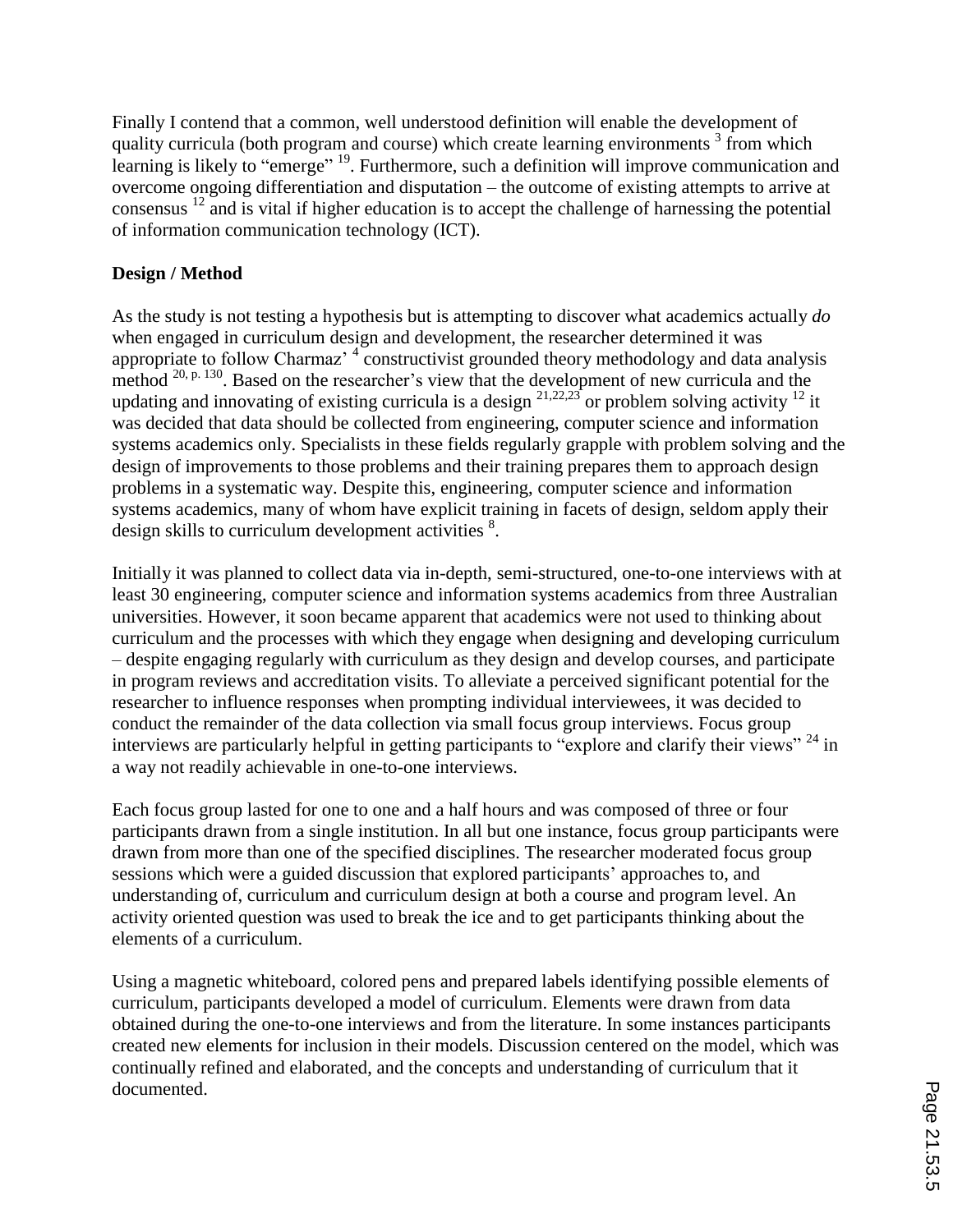Finally I contend that a common, well understood definition will enable the development of quality curricula (both program and course) which create learning environments  $\frac{3}{3}$  from which learning is likely to "emerge" <sup>19</sup>. Furthermore, such a definition will improve communication and overcome ongoing differentiation and disputation – the outcome of existing attempts to arrive at consensus  $^{12}$  and is vital if higher education is to accept the challenge of harnessing the potential of information communication technology (ICT).

# **Design / Method**

As the study is not testing a hypothesis but is attempting to discover what academics actually *do* when engaged in curriculum design and development, the researcher determined it was appropriate to follow Charmaz'  $\frac{4}{3}$  constructivist grounded theory methodology and data analysis method <sup>20, p. 130</sup>. Based on the researcher's view that the development of new curricula and the updating and innovating of existing curricula is a design  $2^{1,22,23}$  or problem solving activity  $1^2$  it was decided that data should be collected from engineering, computer science and information systems academics only. Specialists in these fields regularly grapple with problem solving and the design of improvements to those problems and their training prepares them to approach design problems in a systematic way. Despite this, engineering, computer science and information systems academics, many of whom have explicit training in facets of design, seldom apply their design skills to curriculum development activities<sup>8</sup>.

Initially it was planned to collect data via in-depth, semi-structured, one-to-one interviews with at least 30 engineering, computer science and information systems academics from three Australian universities. However, it soon became apparent that academics were not used to thinking about curriculum and the processes with which they engage when designing and developing curriculum – despite engaging regularly with curriculum as they design and develop courses, and participate in program reviews and accreditation visits. To alleviate a perceived significant potential for the researcher to influence responses when prompting individual interviewees, it was decided to conduct the remainder of the data collection via small focus group interviews. Focus group interviews are particularly helpful in getting participants to "explore and clarify their views" <sup>24</sup> in a way not readily achievable in one-to-one interviews.

Each focus group lasted for one to one and a half hours and was composed of three or four participants drawn from a single institution. In all but one instance, focus group participants were drawn from more than one of the specified disciplines. The researcher moderated focus group sessions which were a guided discussion that explored participants' approaches to, and understanding of, curriculum and curriculum design at both a course and program level. An activity oriented question was used to break the ice and to get participants thinking about the elements of a curriculum.

Using a magnetic whiteboard, colored pens and prepared labels identifying possible elements of curriculum, participants developed a model of curriculum. Elements were drawn from data obtained during the one-to-one interviews and from the literature. In some instances participants created new elements for inclusion in their models. Discussion centered on the model, which was continually refined and elaborated, and the concepts and understanding of curriculum that it documented.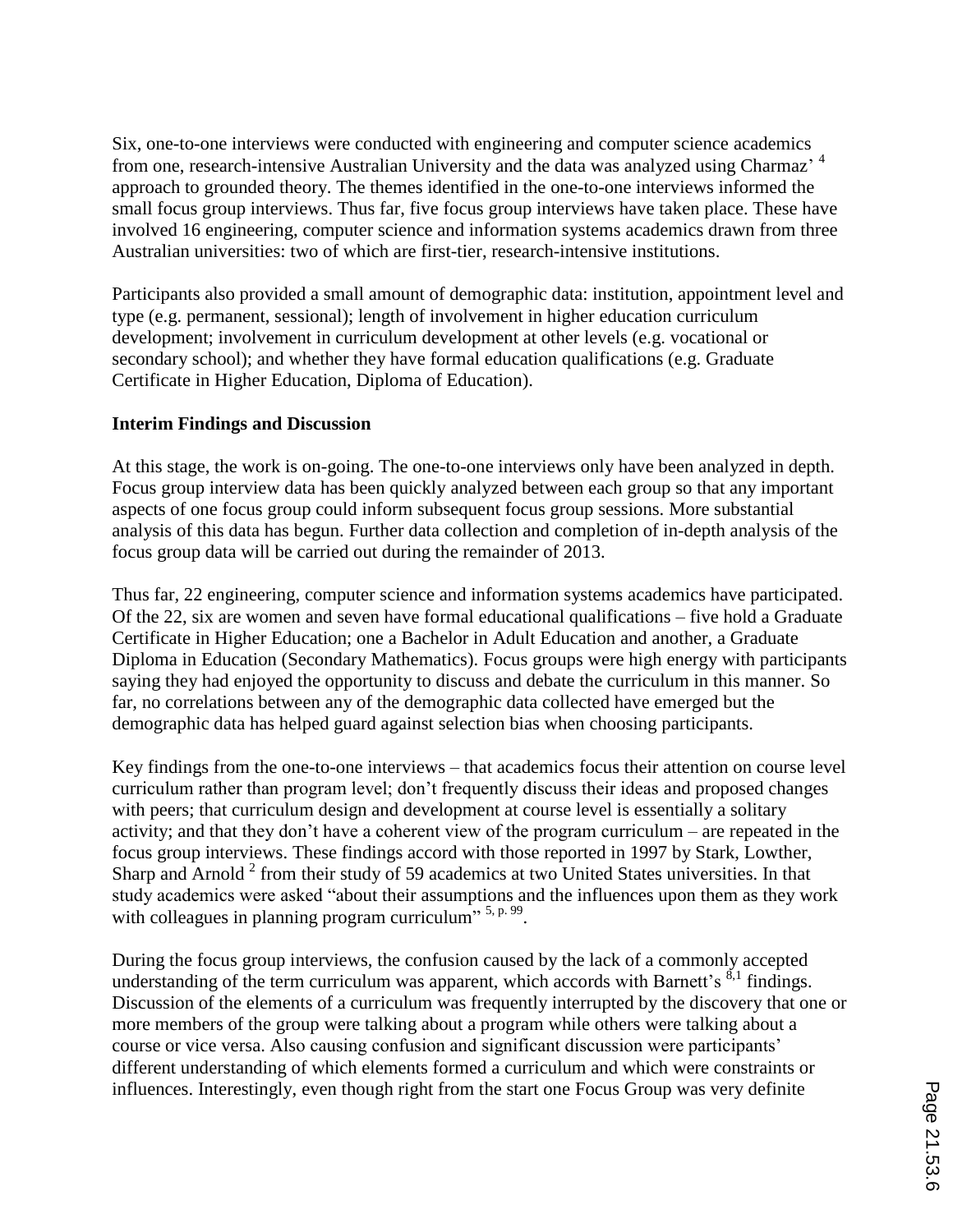Six, one-to-one interviews were conducted with engineering and computer science academics from one, research-intensive Australian University and the data was analyzed using Charmaz'<sup>4</sup> approach to grounded theory. The themes identified in the one-to-one interviews informed the small focus group interviews. Thus far, five focus group interviews have taken place. These have involved 16 engineering, computer science and information systems academics drawn from three Australian universities: two of which are first-tier, research-intensive institutions.

Participants also provided a small amount of demographic data: institution, appointment level and type (e.g. permanent, sessional); length of involvement in higher education curriculum development; involvement in curriculum development at other levels (e.g. vocational or secondary school); and whether they have formal education qualifications (e.g. Graduate Certificate in Higher Education, Diploma of Education).

### **Interim Findings and Discussion**

At this stage, the work is on-going. The one-to-one interviews only have been analyzed in depth. Focus group interview data has been quickly analyzed between each group so that any important aspects of one focus group could inform subsequent focus group sessions. More substantial analysis of this data has begun. Further data collection and completion of in-depth analysis of the focus group data will be carried out during the remainder of 2013.

Thus far, 22 engineering, computer science and information systems academics have participated. Of the 22, six are women and seven have formal educational qualifications – five hold a Graduate Certificate in Higher Education; one a Bachelor in Adult Education and another, a Graduate Diploma in Education (Secondary Mathematics). Focus groups were high energy with participants saying they had enjoyed the opportunity to discuss and debate the curriculum in this manner. So far, no correlations between any of the demographic data collected have emerged but the demographic data has helped guard against selection bias when choosing participants.

Key findings from the one-to-one interviews – that academics focus their attention on course level curriculum rather than program level; don't frequently discuss their ideas and proposed changes with peers; that curriculum design and development at course level is essentially a solitary activity; and that they don't have a coherent view of the program curriculum – are repeated in the focus group interviews. These findings accord with those reported in 1997 by Stark, Lowther, Sharp and Arnold<sup>2</sup> from their study of 59 academics at two United States universities. In that study academics were asked "about their assumptions and the influences upon them as they work with colleagues in planning program curriculum"  $5, p. 99$ .

During the focus group interviews, the confusion caused by the lack of a commonly accepted understanding of the term curriculum was apparent, which accords with Barnett's  $^{8,1}$  findings. Discussion of the elements of a curriculum was frequently interrupted by the discovery that one or more members of the group were talking about a program while others were talking about a course or vice versa. Also causing confusion and significant discussion were participants' different understanding of which elements formed a curriculum and which were constraints or influences. Interestingly, even though right from the start one Focus Group was very definite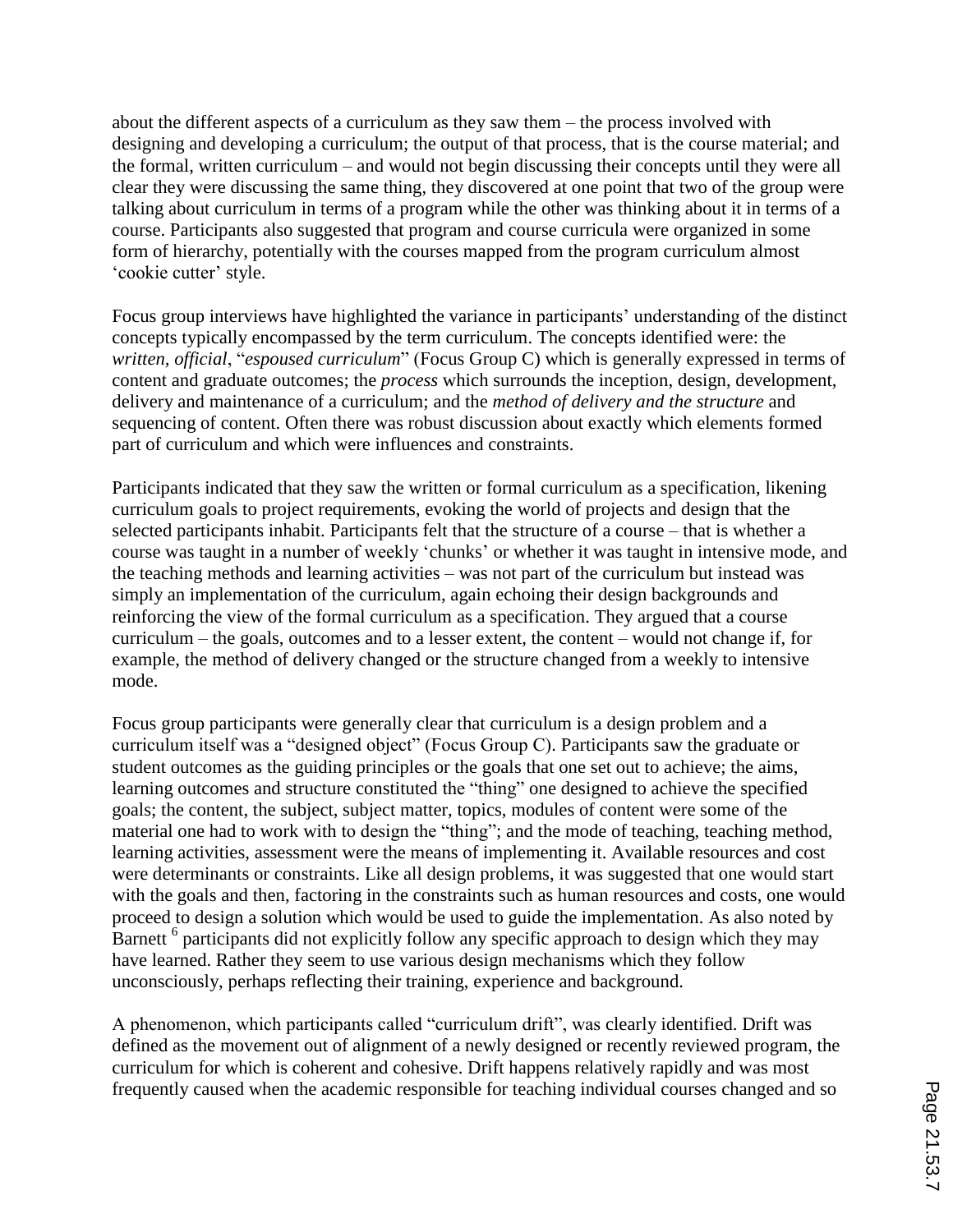about the different aspects of a curriculum as they saw them – the process involved with designing and developing a curriculum; the output of that process, that is the course material; and the formal, written curriculum – and would not begin discussing their concepts until they were all clear they were discussing the same thing, they discovered at one point that two of the group were talking about curriculum in terms of a program while the other was thinking about it in terms of a course. Participants also suggested that program and course curricula were organized in some form of hierarchy, potentially with the courses mapped from the program curriculum almost 'cookie cutter' style.

Focus group interviews have highlighted the variance in participants' understanding of the distinct concepts typically encompassed by the term curriculum. The concepts identified were: the *written, official*, "*espoused curriculum*" (Focus Group C) which is generally expressed in terms of content and graduate outcomes; the *process* which surrounds the inception, design, development, delivery and maintenance of a curriculum; and the *method of delivery and the structure* and sequencing of content. Often there was robust discussion about exactly which elements formed part of curriculum and which were influences and constraints.

Participants indicated that they saw the written or formal curriculum as a specification, likening curriculum goals to project requirements, evoking the world of projects and design that the selected participants inhabit. Participants felt that the structure of a course – that is whether a course was taught in a number of weekly 'chunks' or whether it was taught in intensive mode, and the teaching methods and learning activities – was not part of the curriculum but instead was simply an implementation of the curriculum, again echoing their design backgrounds and reinforcing the view of the formal curriculum as a specification. They argued that a course curriculum – the goals, outcomes and to a lesser extent, the content – would not change if, for example, the method of delivery changed or the structure changed from a weekly to intensive mode.

Focus group participants were generally clear that curriculum is a design problem and a curriculum itself was a "designed object" (Focus Group C). Participants saw the graduate or student outcomes as the guiding principles or the goals that one set out to achieve; the aims, learning outcomes and structure constituted the "thing" one designed to achieve the specified goals; the content, the subject, subject matter, topics, modules of content were some of the material one had to work with to design the "thing"; and the mode of teaching, teaching method, learning activities, assessment were the means of implementing it. Available resources and cost were determinants or constraints. Like all design problems, it was suggested that one would start with the goals and then, factoring in the constraints such as human resources and costs, one would proceed to design a solution which would be used to guide the implementation. As also noted by Barnett <sup>6</sup> participants did not explicitly follow any specific approach to design which they may have learned. Rather they seem to use various design mechanisms which they follow unconsciously, perhaps reflecting their training, experience and background.

A phenomenon, which participants called "curriculum drift", was clearly identified. Drift was defined as the movement out of alignment of a newly designed or recently reviewed program, the curriculum for which is coherent and cohesive. Drift happens relatively rapidly and was most frequently caused when the academic responsible for teaching individual courses changed and so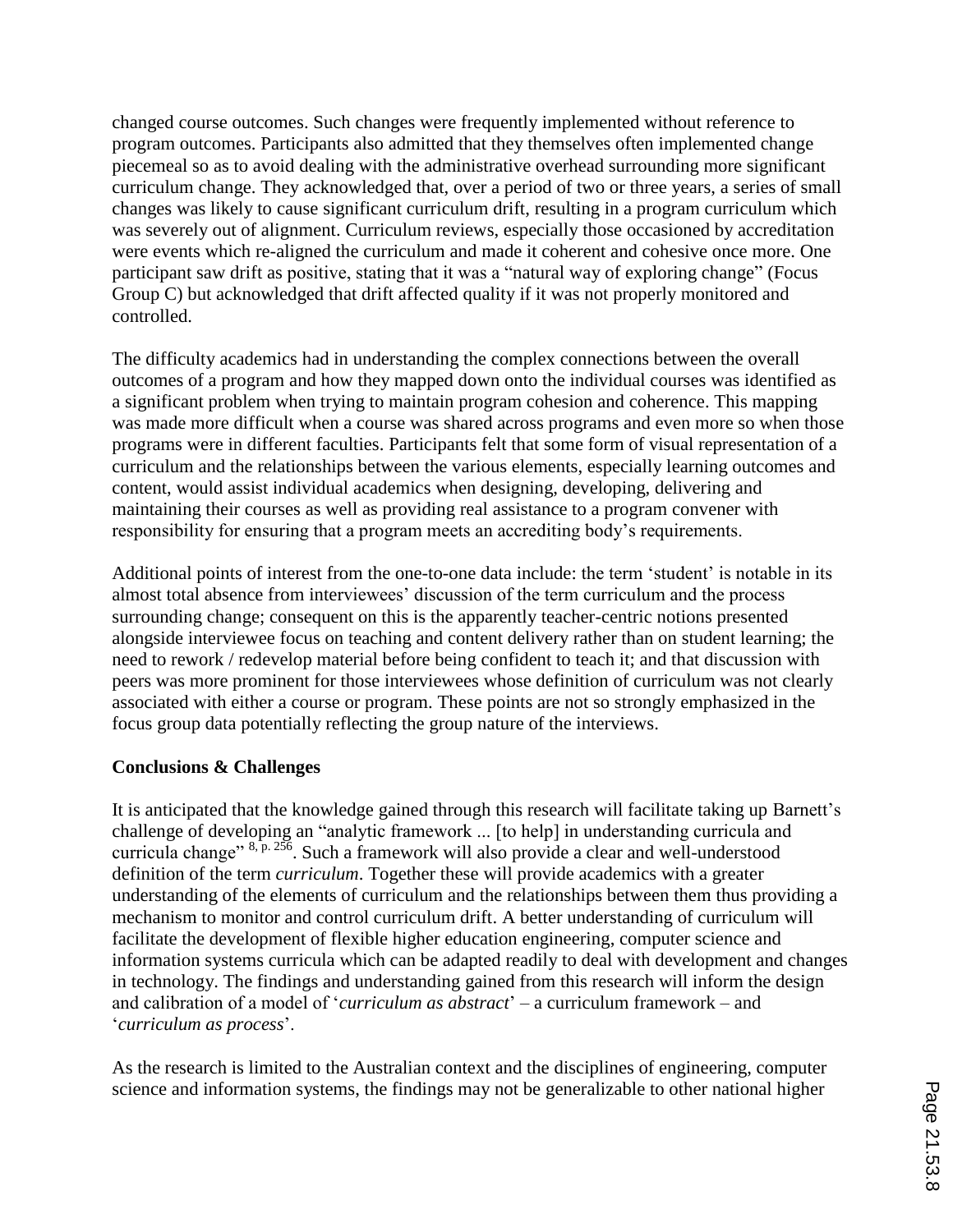changed course outcomes. Such changes were frequently implemented without reference to program outcomes. Participants also admitted that they themselves often implemented change piecemeal so as to avoid dealing with the administrative overhead surrounding more significant curriculum change. They acknowledged that, over a period of two or three years, a series of small changes was likely to cause significant curriculum drift, resulting in a program curriculum which was severely out of alignment. Curriculum reviews, especially those occasioned by accreditation were events which re-aligned the curriculum and made it coherent and cohesive once more. One participant saw drift as positive, stating that it was a "natural way of exploring change" (Focus Group C) but acknowledged that drift affected quality if it was not properly monitored and controlled.

The difficulty academics had in understanding the complex connections between the overall outcomes of a program and how they mapped down onto the individual courses was identified as a significant problem when trying to maintain program cohesion and coherence. This mapping was made more difficult when a course was shared across programs and even more so when those programs were in different faculties. Participants felt that some form of visual representation of a curriculum and the relationships between the various elements, especially learning outcomes and content, would assist individual academics when designing, developing, delivering and maintaining their courses as well as providing real assistance to a program convener with responsibility for ensuring that a program meets an accrediting body's requirements.

Additional points of interest from the one-to-one data include: the term 'student' is notable in its almost total absence from interviewees' discussion of the term curriculum and the process surrounding change; consequent on this is the apparently teacher-centric notions presented alongside interviewee focus on teaching and content delivery rather than on student learning; the need to rework / redevelop material before being confident to teach it; and that discussion with peers was more prominent for those interviewees whose definition of curriculum was not clearly associated with either a course or program. These points are not so strongly emphasized in the focus group data potentially reflecting the group nature of the interviews.

### **Conclusions & Challenges**

It is anticipated that the knowledge gained through this research will facilitate taking up Barnett's challenge of developing an "analytic framework ... [to help] in understanding curricula and curricula change" 8, p. 256. Such a framework will also provide a clear and well-understood definition of the term *curriculum*. Together these will provide academics with a greater understanding of the elements of curriculum and the relationships between them thus providing a mechanism to monitor and control curriculum drift. A better understanding of curriculum will facilitate the development of flexible higher education engineering, computer science and information systems curricula which can be adapted readily to deal with development and changes in technology. The findings and understanding gained from this research will inform the design and calibration of a model of '*curriculum as abstract*' – a curriculum framework – and '*curriculum as process*'.

As the research is limited to the Australian context and the disciplines of engineering, computer science and information systems, the findings may not be generalizable to other national higher